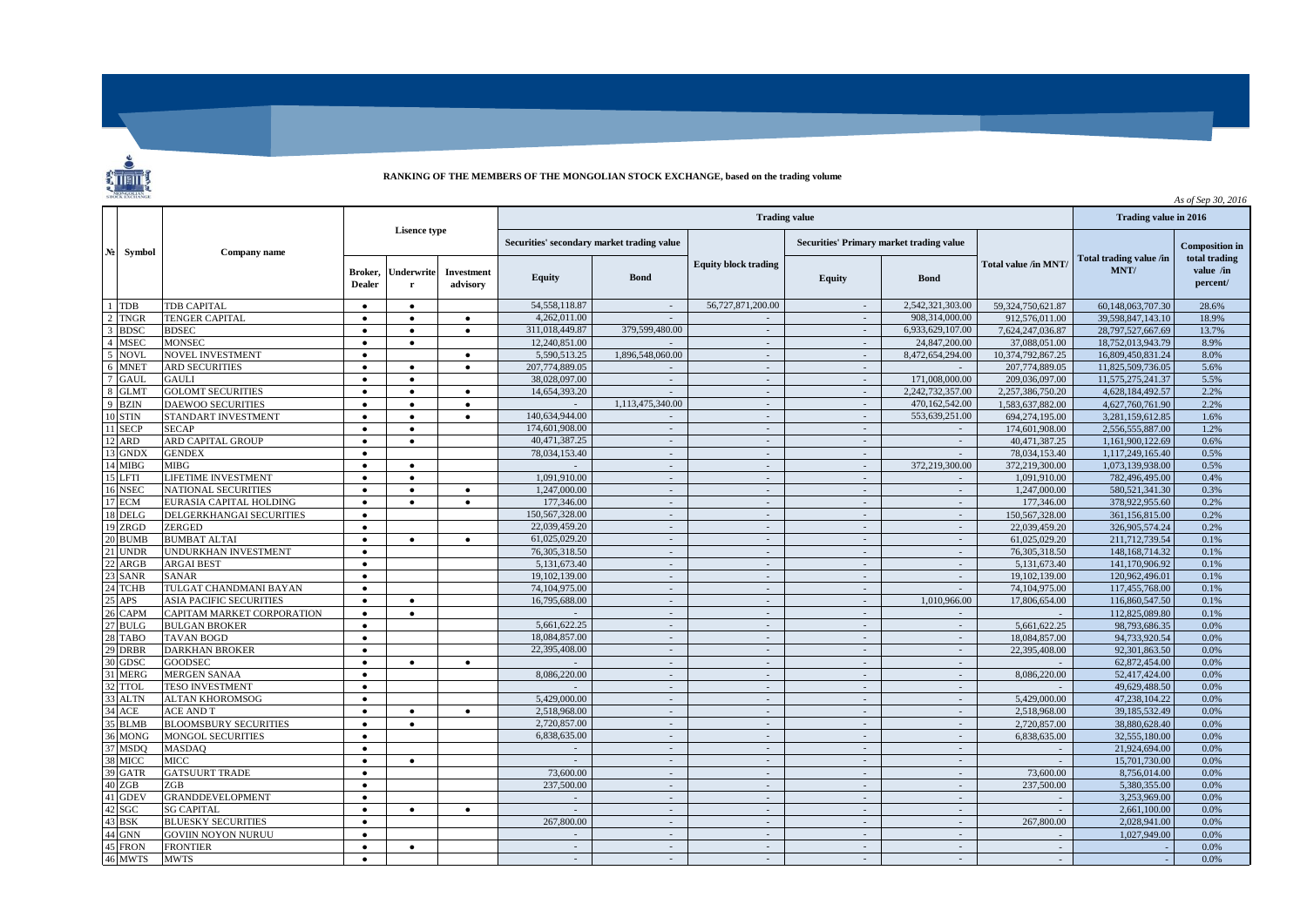

## **RANKING OF THE MEMBERS OF THE MONGOLIAN STOCK EXCHANGE, based on the trading volume**

|                |                    |                                |                        |           |                          |                                            | As of Sep 30, 2016     |                                    |                                          |                             |                         |                              |                       |
|----------------|--------------------|--------------------------------|------------------------|-----------|--------------------------|--------------------------------------------|------------------------|------------------------------------|------------------------------------------|-----------------------------|-------------------------|------------------------------|-----------------------|
| N <sub>2</sub> | Symbol             | <b>Company name</b>            | <b>Lisence type</b>    |           |                          |                                            | Trading value in 2016  |                                    |                                          |                             |                         |                              |                       |
|                |                    |                                |                        |           |                          | Securities' secondary market trading value |                        |                                    | Securities' Primary market trading value |                             |                         |                              | <b>Composition</b> in |
|                |                    |                                |                        |           | Broker,<br><b>Dealer</b> | Underwrite<br>r                            | Investment<br>advisory | <b>Equity</b>                      | <b>Bond</b>                              | <b>Equity block trading</b> | <b>Equity</b>           | <b>Bond</b>                  | Total value /in MNT/  |
|                | $1$ TDB            | TDB CAPITAL                    | $\bullet$              | $\bullet$ |                          | 54, 558, 118.87                            | $\sim$                 | 56,727,871,200.00                  | $\sim$                                   | 2.542.321.303.00            | 59,324,750,621.87       | 60,148,063,707.30            | 28.6%                 |
|                | 2 TNGR             | <b>TENGER CAPITAL</b>          | $\bullet$              | $\bullet$ | $\bullet$                | 4.262.011.00                               | $\sim$                 | $\sim$                             | $\sim$                                   | 908.314,000.00              | 912,576,011.00          | 39.598.847.143.10            | 18.9%                 |
|                | 3 BDSC             | <b>BDSEC</b>                   | $\bullet$              | $\bullet$ | $\bullet$                | 311,018,449.87                             | 379,599,480.00         | $\sim$                             | $\sim$                                   | 6,933,629,107.00            | 7,624,247,036.87        | 28,797,527,667.69            | 13.7%                 |
|                | 4 MSEC             | <b>MONSEC</b>                  | $\bullet$              | $\bullet$ |                          | 12,240,851.00                              |                        | $\mathcal{L}_{\mathcal{A}}$        | $\sim$                                   | 24,847,200.00               | 37,088,051.00           | 18,752,013,943.79            | 8.9%                  |
| $\mathbf{5}$   | <b>NOVL</b>        | NOVEL INVESTMENT               | $\bullet$              |           | $\bullet$                | 5,590,513.25                               | 1,896,548,060,00       | $\sim$                             | $\sim$                                   | 8,472,654,294.00            | 10,374,792,867.25       | 16,809,450,831.24            | 8.0%                  |
| 6              | <b>MNET</b>        | <b>ARD SECURITIES</b>          | $\bullet$              | $\bullet$ | $\bullet$                | 207,774,889.05                             | $\sim$                 | $\sim$                             | $\sim$                                   |                             | 207,774,889.05          | 11,825,509,736.05            | 5.6%                  |
|                | GAUL               | <b>GAULI</b>                   | $\bullet$              | $\bullet$ |                          | 38,028,097.00                              | $\sim$                 | $\sim$                             | $\sim$                                   | 171,008,000.00              | 209,036,097.00          | 11,575,275,241.37            | 5.5%                  |
| 8              | <b>GLMT</b>        | <b>GOLOMT SECURITIES</b>       | $\bullet$              | $\bullet$ | $\bullet$                | 14,654,393.20                              | $\sim$                 | $\sim$                             | $\sim$                                   | 2,242,732,357.00            | 2.257.386.750.20        | 4,628,184,492.57             | 2.2%                  |
|                | 9 BZIN             | <b>DAEWOO SECURITIES</b>       | $\bullet$              | $\bullet$ | $\bullet$                |                                            | 1,113,475,340.00       | $\sim$                             | $\sim$                                   | 470,162,542.00              | 1,583,637,882.00        | 4,627,760,761.90             | 2.2%                  |
|                | 10 STIN            | STANDART INVESTMENT            | $\bullet$              | $\bullet$ | $\bullet$                | 140.634.944.00                             | $\sim$                 | $\sim$                             | $\sim$                                   | 553,639,251.00              | 694.274.195.00          | 3.281.159.612.85             | 1.6%                  |
|                | 11 SECP            | <b>SECAP</b>                   | $\bullet$              | $\bullet$ |                          | 174,601,908.00                             | $\sim$                 | $\sim$                             | $\sim$                                   |                             | 174,601,908.00          | 2,556,555,887.00             | 1.2%                  |
|                | 12 ARD             | ARD CAPITAL GROUP              | $\bullet$              | $\bullet$ |                          | 40.471.387.25                              | $\sim$                 | $\sim$                             | $\sim$                                   | $\sim$                      | 40.471.387.25           | 1,161,900,122.69             | 0.6%                  |
| 13             | <b>GNDX</b>        | <b>GENDEX</b>                  | $\bullet$              |           |                          | 78,034,153.40                              | $\sim$                 | $\sim$                             | $\sim$                                   | $\sim$                      | 78.034.153.40           | 1.117.249.165.40             | 0.5%                  |
|                | 14 MIBG            | MIBG                           | $\bullet$              | $\bullet$ |                          |                                            | $\sim$                 | $\sim$                             | $\sim$                                   | 372,219,300.00              | 372,219,300.00          | 1,073,139,938.00             | 0.5%                  |
| 15             | <b>LFTI</b>        | LIFETIME INVESTMENT            | $\bullet$              | $\bullet$ |                          | 1,091,910.00                               | $\sim$                 | $\sim$                             | $\sim$                                   | $\sim$                      | 1,091,910.00            | 782,496,495.00               | 0.4%                  |
|                | 16 NSEC            | <b>NATIONAL SECURITIES</b>     | $\bullet$              | $\bullet$ | $\bullet$                | 1,247,000.00                               | $\sim$                 | $\sim$                             | $\sim$                                   | $\sim$                      | 1,247,000.00            | 580.521.341.30               | 0.3%                  |
|                | 17 ECM             | EURASIA CAPITAL HOLDING        | $\bullet$              | $\bullet$ | $\bullet$                | 177,346.00                                 | $\sim$                 | $\sim$                             | $\sim$                                   | $\sim$                      | 177,346.00              | 378,922,955.60               | 0.2%                  |
|                | 18 DELG            | DELGERKHANGAI SECURITIES       | $\bullet$              |           |                          | 150,567,328.00                             | $\sim$                 | $\sim$                             | $\sim$                                   | $\sim$                      | 150.567.328.00          | 361,156,815.00               | 0.2%                  |
|                | 19 ZRGD            | ZERGED                         | $\bullet$              |           |                          | 22,039,459.20                              | $\sim$                 | $\sim$                             | $\sim$                                   | $\sim$                      | 22,039,459.20           | 326,905,574.24               | 0.2%                  |
|                | 20 BUMB            | <b>BUMBAT ALTAI</b>            | $\bullet$              | $\bullet$ | $\bullet$                | 61.025.029.20                              | $\sim$                 | $\sim$                             | $\sim$                                   | $\sim$                      | 61,025,029.20           | 211,712,739.54               | 0.1%                  |
|                | <b>UNDR</b>        | UNDURKHAN INVESTMENT           | $\bullet$              |           |                          | 76, 305, 318, 50                           | $\sim$                 | $\sim$                             | $\sim$                                   | $\sim$                      | 76,305,318.50           | 148, 168, 714, 32            | 0.1%                  |
|                | ARGB               | <b>ARGAI BEST</b>              | $\bullet$              |           |                          | 5,131,673.40                               | $\sim$                 | $\sim$                             | $\sim$                                   | $\sim$                      | 5.131.673.40            | 141.170.906.92               | 0.1%                  |
|                | <b>SANR</b>        | <b>SANAR</b>                   | $\bullet$              |           |                          | 19.102.139.00                              | $\sim$                 | $\mathcal{L}_{\mathcal{A}}$        | $\sim$                                   | $\sim$                      | 19,102,139.00           | 120.962,496.01               | 0.1%                  |
|                | 24 TCHB            | TULGAT CHANDMANI BAYAN         | $\bullet$              |           |                          | 74,104,975.00                              | $\sim$                 | $\sim$                             | $\sim$                                   | $\sim$                      | 74,104,975.00           | 117,455,768.00               | 0.1%                  |
|                | <b>APS</b>         | <b>ASIA PACIFIC SECURITIES</b> | $\bullet$              | $\bullet$ |                          | 16,795,688.00                              | $\sim$                 | $\sim$                             | $\sim$                                   | 1,010,966.00                | 17,806,654.00           | 116,860,547.50               | 0.1%                  |
|                | CAPM               | CAPITAM MARKET CORPORATION     | $\bullet$              | $\bullet$ |                          | $\sim$                                     | $\sim$                 | $\sim$                             | $\sim$                                   | $\sim$                      |                         | 112,825,089.80               | 0.1%                  |
|                | <b>BULG</b>        | <b>BULGAN BROKER</b>           | $\bullet$              |           |                          | 5,661,622.25                               | $\sim$                 | $\sim$                             | $\sim$                                   | $\sim$                      | 5,661,622.25            | 98,793,686.35                | 0.0%                  |
|                | 28 TABO            | <b>TAVAN BOGD</b>              | $\bullet$              |           |                          | 18,084,857.00                              | $\sim$                 | $\sim$                             | $\sim$                                   | $\sim$                      | 18,084,857.00           | 94,733,920.54                | 0.0%                  |
|                | <b>DRBR</b>        | <b>DARKHAN BROKER</b>          | $\bullet$              |           |                          | 22.395.408.00                              | $\sim$                 | $\sim$                             | $\sim$                                   | $\sim$                      | 22,395,408.00           | 92,301,863.50                | 0.0%                  |
|                | <b>GDSC</b>        | <b>GOODSEC</b>                 | $\bullet$              | ٠         | $\bullet$                | $\sim$                                     | $\sim$                 | $\sim$                             | $\sim$                                   | $\sim$                      |                         | 62,872,454.00                | 0.0%                  |
|                | <b>MERG</b>        | <b>MERGEN SANAA</b>            | $\bullet$              |           |                          | 8,086,220.00                               | $\sim$                 | $\sim$                             | $\sim$                                   | $\sim$                      | 8,086,220.00            | 52,417,424.00                | 0.0%                  |
|                | <b>TTOL</b>        | <b>TESO INVESTMENT</b>         | $\bullet$              |           |                          |                                            | $\sim$                 | $\sim$                             | $\mathbf{r}$                             | $\sim$                      |                         | 49,629,488.50                | 0.0%                  |
|                | 33 ALTN            | ALTAN KHOROMSOG                | $\bullet$              |           |                          | 5,429,000.00                               | $\sim$                 | $\sim$                             | $\sim$                                   | $\sim$                      | 5,429,000.00            | 47.238.104.22                | 0.0%                  |
|                | ACE                | <b>ACE AND T</b>               | $\bullet$              | $\bullet$ | $\bullet$                | 2,518,968.00                               | $\sim$                 | $\sim$                             | $\sim$                                   | $\sim$                      | 2,518,968.00            | 39,185,532.49                | 0.0%                  |
|                | <b>BLMB</b>        | <b>BLOOMSBURY SECURITIES</b>   | $\bullet$              | $\bullet$ |                          | 2,720,857.00                               | $\sim$                 | $\sim$                             | $\sim$                                   | $\sim$                      | 2,720,857.00            | 38,880,628.40                | 0.0%                  |
|                | 36 MONG            | MONGOL SECURITIES              | $\bullet$              |           |                          | 6,838,635.00                               | $\sim$                 | $\mathcal{L}$                      | $\mathcal{L}$                            | $\mathcal{L}$               | 6,838,635.00            | 32,555,180.00                | 0.0%                  |
|                | <b>MSDO</b>        | <b>MASDAQ</b>                  | $\bullet$              |           |                          | $\sim$                                     | $\sim$                 | $\sim$                             | $\sim$                                   | $\sim$                      | $\sim$                  | 21,924,694.00                | 0.0%                  |
|                |                    |                                |                        |           |                          |                                            | $\sim$                 |                                    |                                          |                             |                         |                              |                       |
|                | 38 MICC<br>39 GATR | MICC<br><b>GATSUURT TRADE</b>  | $\bullet$<br>$\bullet$ | $\bullet$ |                          | 73,600.00                                  | $\sim$                 | $\overline{\phantom{a}}$<br>$\sim$ | $\sim$<br>$\sim$                         | $\sim$<br>$\sim$            |                         | 15,701,730.00                | 0.0%<br>0.0%          |
|                | 40 ZGB             | ZGB                            |                        |           |                          | 237,500.00                                 | $\sim$                 | $\sim$                             | $\sim$                                   |                             | 73,600.00<br>237,500.00 | 8,756,014.00<br>5.380.355.00 | 0.0%                  |
|                |                    |                                | $\bullet$<br>$\bullet$ |           |                          | $\sim$                                     | $\sim$                 | $\sim$                             | $\sim$                                   | $\sim$<br>$\sim$            |                         | 3.253.969.00                 | 0.0%                  |
|                | <b>GDEV</b>        | <b>GRANDDEVELOPMENT</b>        |                        |           |                          | $\sim$                                     |                        |                                    |                                          |                             |                         |                              |                       |
|                | SGC                | <b>SG CAPITAL</b>              | $\bullet$              | $\bullet$ | $\bullet$                |                                            | $\sim$                 | $\sim$                             | $\sim$                                   | $\sim$                      |                         | 2.661.100.00                 | 0.0%<br>0.0%          |
|                | <b>BSK</b>         | <b>BLUESKY SECURITIES</b>      | $\bullet$              |           |                          | 267,800,00                                 | $\sim$                 | $\sim$                             | $\sim$                                   | $\sim$                      | 267,800.00              | 2.028.941.00                 |                       |
|                | GNN                | <b>GOVIIN NOYON NURUU</b>      | $\bullet$              |           |                          |                                            | $\mathcal{L}$          | $\mathcal{L}_{\mathcal{A}}$        | $\mathcal{L}_{\mathcal{A}}$              | $\sim$                      |                         | 1,027,949.00                 | 0.0%<br>0.0%          |
|                | <b>FRON</b>        | <b>FRONTIER</b>                | $\bullet$              | $\bullet$ |                          | $\sim$                                     | $\sim$                 | $\sim$                             | $\sim$                                   | $\sim$                      | $\sim$                  |                              |                       |
|                | 46 MWTS            | <b>MWTS</b>                    | $\bullet$              |           |                          | $\sim$                                     | $\sim$                 | $\sim$                             | $\sim$                                   | $\sim$                      | $\sim$                  |                              | 0.0%                  |